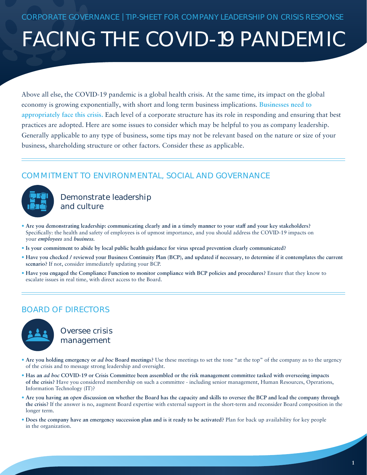# FACING THE COVID-19 PANDEMIC

Above all else, the COVID-19 pandemic is a global health crisis. At the same time, its impact on the global economy is growing exponentially, with short and long term business implications. **Businesses need to appropriately face this crisis.** Each level of a corporate structure has its role in responding and ensuring that best practices are adopted. Here are some issues to consider which may be helpful to you as company leadership. Generally applicable to any type of business, some tips may not be relevant based on the nature or size of your business, shareholding structure or other factors. Consider these as applicable.

## COMMITMENT TO ENVIRONMENTAL, SOCIAL AND GOVERNANCE



Demonstrate leadership and culture

- **Are you demonstrating leadership: communicating clearly and in a timely manner to your staff and your key stakeholders?** Specifically: the health and safety of employees is of upmost importance, and you should address the COVID-19 impacts on your *employees* and *business.*
- **Is your commitment to abide by local public health guidance for virus spread prevention clearly communicated?**
- **Have you checked / reviewed your Business Continuity Plan (BCP), and updated if necessary, to determine if it contemplates the current scenario?** If not, consider immediately updating your BCP.
- **Have you engaged the Compliance Function to monitor compliance with BCP policies and procedures?** Ensure that they know to escalate issues in real time, with direct access to the Board.

## BOARD OF DIRECTORS



Oversee crisis management

- **Are you holding emergency or** *ad hoc* **Board meetings?** Use these meetings to set the tone "at the top" of the company as to the urgency of the crisis and to message strong leadership and oversight.
- **Has an** *ad hoc* **COVID-19 or Crisis Committee been assembled or the risk management committee tasked with overseeing impacts of the crisis?** Have you considered membership on such a committee - including senior management, Human Resources, Operations, Information Technology (IT)?
- **Are you having an** *open* **discussion on whether the Board has the capacity and skills to oversee the BCP and lead the company through the crisis?** If the answer is no, augment Board expertise with external support in the short-term and reconsider Board composition in the longer term.
- **Does the company have an emergency succession plan and is it ready to be activated?** Plan for back up availability for key people in the organization.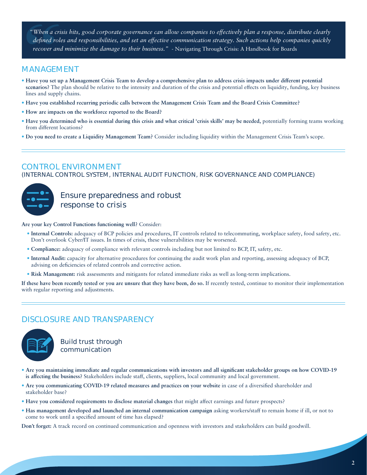*"When a crisis hits, good corporate governance can allow companies to effectively plan a response, distribute clearly defined roles and responsibilities, and set an effective communication strategy. Such actions help companies quickly recover and minimize the damage to their business."* - Navigating Through Crisis: A Handbook for Boards

## MANAGEMENT

- **Have you set up a Management Crisis Team to develop a comprehensive plan to address crisis impacts under different potential scenarios?** The plan should be relative to the intensity and duration of the crisis and potential effects on liquidity, funding, key business lines and supply chains.
- **Have you established recurring periodic calls between the Management Crisis Team and the Board Crisis Committee?**
- **How are impacts on the workforce reported to the Board?**
- **Have you determined who is essential during this crisis and what critical 'crisis skills' may be needed,** potentially forming teams working from different locations?
- **Do you need to create a Liquidity Management Team?** Consider including liquidity within the Management Crisis Team's scope.

### CONTROL ENVIRONMENT

(INTERNAL CONTROL SYSTEM, INTERNAL AUDIT FUNCTION, RISK GOVERNANCE AND COMPLIANCE)



Ensure preparedness and robust response to crisis

**Are your key Control Functions functioning well?** Consider:

- **Internal Controls:** adequacy of BCP policies and procedures, IT controls related to telecommuting, workplace safety, food safety, etc. Don't overlook Cyber/IT issues. In times of crisis, these vulnerabilities may be worsened.
- **Compliance:** adequacy of compliance with relevant controls including but not limited to BCP, IT, safety, etc.
- **Internal Audit:** capacity for alternative procedures for continuing the audit work plan and reporting, assessing adequacy of BCP, advising on deficiencies of related controls and corrective action.
- **Risk Management:** risk assessments and mitigants for related immediate risks as well as long-term implications.

**If these have been recently tested or you are unsure that they have been, do so.** If recently tested, continue to monitor their implementation with regular reporting and adjustments.

## DISCLOSURE AND TRANSPARENCY



Build trust through communication

- **Are you maintaining immediate and regular communications with investors and all significant stakeholder groups on how COVID-19 is affecting the business?** Stakeholders include staff, clients, suppliers, local community and local government.
- **Are you communicating COVID-19 related measures and practices on your website** in case of a diversified shareholder and stakeholder base?
- **Have you considered requirements to disclose material changes** that might affect earnings and future prospects?
- **Has management developed and launched an internal communication campaign** asking workers/staff to remain home if ill, or not to come to work until a specified amount of time has elapsed?

**Don't forget:** A track record on continued communication and openness with investors and stakeholders can build goodwill.